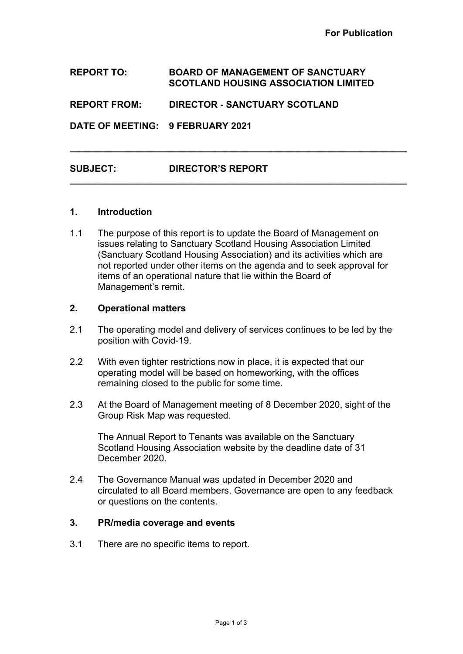### **REPORT TO: BOARD OF MANAGEMENT OF SANCTUARY SCOTLAND HOUSING ASSOCIATION LIMITED**

**\_\_\_\_\_\_\_\_\_\_\_\_\_\_\_\_\_\_\_\_\_\_\_\_\_\_\_\_\_\_\_\_\_\_\_\_\_\_\_\_\_\_\_\_\_\_\_\_\_\_\_\_\_\_\_\_\_\_\_\_\_\_\_\_\_**

**\_\_\_\_\_\_\_\_\_\_\_\_\_\_\_\_\_\_\_\_\_\_\_\_\_\_\_\_\_\_\_\_\_\_\_\_\_\_\_\_\_\_\_\_\_\_\_\_\_\_\_\_\_\_\_\_\_\_\_\_\_\_\_\_\_**

### **REPORT FROM: DIRECTOR - SANCTUARY SCOTLAND**

**DATE OF MEETING: 9 FEBRUARY 2021**

# **SUBJECT: DIRECTOR'S REPORT**

#### **1. Introduction**

1.1 The purpose of this report is to update the Board of Management on issues relating to Sanctuary Scotland Housing Association Limited (Sanctuary Scotland Housing Association) and its activities which are not reported under other items on the agenda and to seek approval for items of an operational nature that lie within the Board of Management's remit.

#### **2. Operational matters**

- 2.1 The operating model and delivery of services continues to be led by the position with Covid-19.
- 2.2 With even tighter restrictions now in place, it is expected that our operating model will be based on homeworking, with the offices remaining closed to the public for some time.
- 2.3 At the Board of Management meeting of 8 December 2020, sight of the Group Risk Map was requested.

The Annual Report to Tenants was available on the Sanctuary Scotland Housing Association website by the deadline date of 31 December 2020.

2.4 The Governance Manual was updated in December 2020 and circulated to all Board members. Governance are open to any feedback or questions on the contents.

## **3. PR/media coverage and events**

3.1 There are no specific items to report.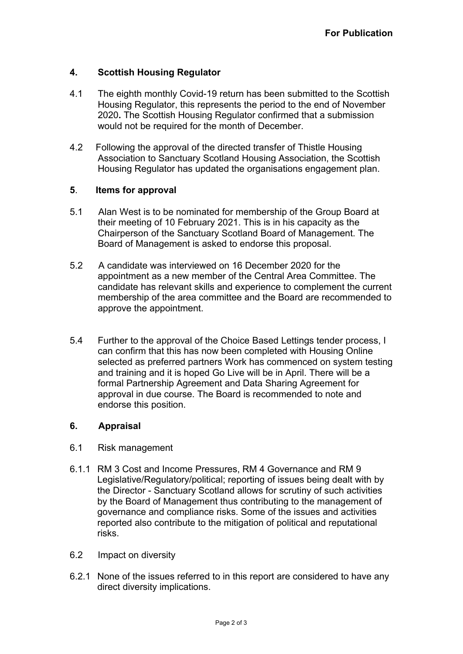# **4. Scottish Housing Regulator**

- 4.1 The eighth monthly Covid-19 return has been submitted to the Scottish Housing Regulator, this represents the period to the end of November 2020**.** The Scottish Housing Regulator confirmed that a submission would not be required for the month of December.
- 4.2 Following the approval of the directed transfer of Thistle Housing Association to Sanctuary Scotland Housing Association, the Scottish Housing Regulator has updated the organisations engagement plan.

#### **5**. **Items for approval**

- 5.1 Alan West is to be nominated for membership of the Group Board at their meeting of 10 February 2021. This is in his capacity as the Chairperson of the Sanctuary Scotland Board of Management. The Board of Management is asked to endorse this proposal.
- 5.2 A candidate was interviewed on 16 December 2020 for the appointment as a new member of the Central Area Committee. The candidate has relevant skills and experience to complement the current membership of the area committee and the Board are recommended to approve the appointment.
- 5.4 Further to the approval of the Choice Based Lettings tender process, I can confirm that this has now been completed with Housing Online selected as preferred partners Work has commenced on system testing and training and it is hoped Go Live will be in April. There will be a formal Partnership Agreement and Data Sharing Agreement for approval in due course. The Board is recommended to note and endorse this position.

## **6. Appraisal**

- 6.1 Risk management
- 6.1.1 RM 3 Cost and Income Pressures, RM 4 Governance and RM 9 Legislative/Regulatory/political; reporting of issues being dealt with by the Director - Sanctuary Scotland allows for scrutiny of such activities by the Board of Management thus contributing to the management of governance and compliance risks. Some of the issues and activities reported also contribute to the mitigation of political and reputational risks.
- 6.2 Impact on diversity
- 6.2.1 None of the issues referred to in this report are considered to have any direct diversity implications.